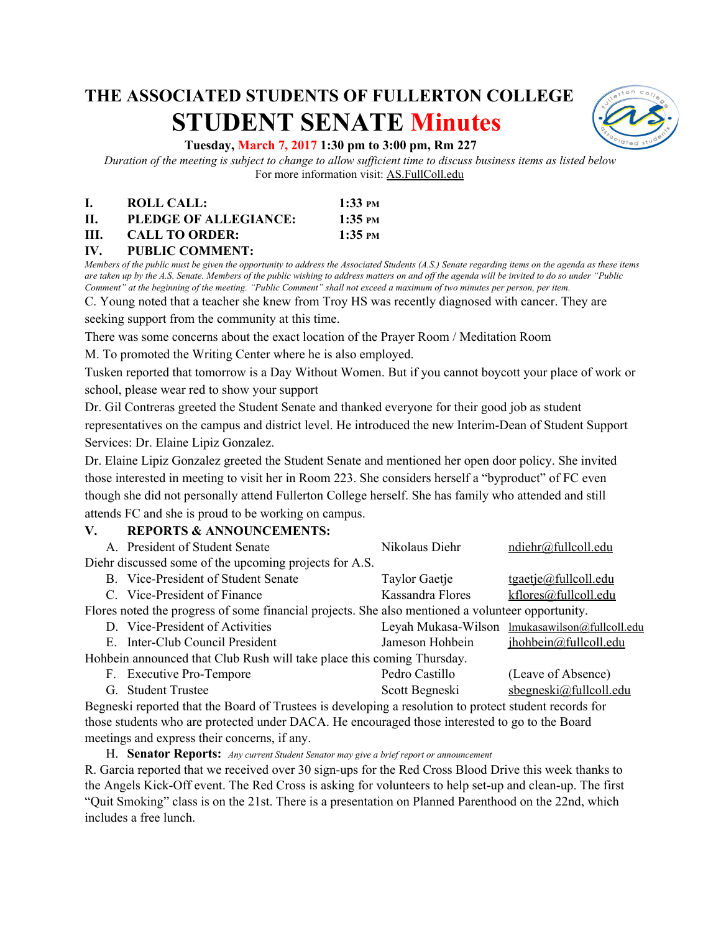# **THE ASSOCIATED STUDENTS OF FULLERTON COLLEGE STUDENT SENATE Minutes**



## **Tuesday, March 7, 2017 1:30 pm to 3:00 pm, Rm 227**

Duration of the meeting is subject to change to allow sufficient time to discuss business items as listed below For more information visit: AS.FullColl.edu

|      | ROLL CALL:            | $1:33$ PM                  |
|------|-----------------------|----------------------------|
| П.   | PLEDGE OF ALLEGIANCE: | $1:35$ PM                  |
| III. | <b>CALL TO ORDER:</b> | $1:35 \text{ }^{\circ}$ PM |

#### **IV. PUBLIC COMMENT:**

Members of the public must be given the opportunity to address the Associated Students (A.S.) Senate regarding items on the agenda as these items are taken up by the A.S. Senate. Members of the public wishing to address matters on and off the agenda will be invited to do so under "Public Comment" at the beginning of the meeting. "Public Comment" shall not exceed a maximum of two minutes per person, per item.

C. Young noted that a teacher she knew from Troy HS was recently diagnosed with cancer. They are seeking support from the community at this time.

There was some concerns about the exact location of the Prayer Room / Meditation Room

M. To promoted the Writing Center where he is also employed.

Tusken reported that tomorrow is a Day Without Women. But if you cannot boycott your place of work or school, please wear red to show your support

Dr. Gil Contreras greeted the Student Senate and thanked everyone for their good job as student representatives on the campus and district level. He introduced the new Interim-Dean of Student Support Services: Dr. Elaine Lipiz Gonzalez.

Dr. Elaine Lipiz Gonzalez greeted the Student Senate and mentioned her open door policy. She invited those interested in meeting to visit her in Room 223. She considers herself a "byproduct" of FC even though she did not personally attend Fullerton College herself. She has family who attended and still attends FC and she is proud to be working on campus.

## **V. REPORTS & ANNOUNCEMENTS:**

|                                                                                                   | A. President of Student Senate      | Nikolaus Diehr   | ndiehr@fullcoll.edu                            |  |  |
|---------------------------------------------------------------------------------------------------|-------------------------------------|------------------|------------------------------------------------|--|--|
| Diehr discussed some of the upcoming projects for A.S.                                            |                                     |                  |                                                |  |  |
|                                                                                                   | B. Vice-President of Student Senate | Taylor Gaetje    | $t$ gaetje@fullcoll.edu                        |  |  |
|                                                                                                   | C. Vice-President of Finance        | Kassandra Flores | kflores@fullcoll.edu                           |  |  |
| Flores noted the progress of some financial projects. She also mentioned a volunteer opportunity. |                                     |                  |                                                |  |  |
|                                                                                                   | D. Vice-President of Activities     |                  | Leyah Mukasa-Wilson lmukasawilson@fullcoll.edu |  |  |
|                                                                                                   | E. Inter-Club Council President     | Jameson Hohbein  | jhohbein@fullcoll.edu                          |  |  |
| Hohbein announced that Club Rush will take place this coming Thursday.                            |                                     |                  |                                                |  |  |
|                                                                                                   | F. Executive Pro-Tempore            | Pedro Castillo   | (Leave of Absence)                             |  |  |
|                                                                                                   | G. Student Trustee                  | Scott Begneski   | $s$ begneski@fullcoll.edu                      |  |  |
|                                                                                                   |                                     |                  |                                                |  |  |

Begneski reported that the Board of Trustees is developing a resolution to protect student records for those students who are protected under DACA. He encouraged those interested to go to the Board meetings and express their concerns, if any.

H. **Senator Reports:** *Any current Student Senator may give <sup>a</sup> brief report or announcement*

R. Garcia reported that we received over 30 sign-ups for the Red Cross Blood Drive this week thanks to the Angels Kick-Off event. The Red Cross is asking for volunteers to help set-up and clean-up. The first "Quit Smoking" class is on the 21st. There is a presentation on Planned Parenthood on the 22nd, which includes a free lunch.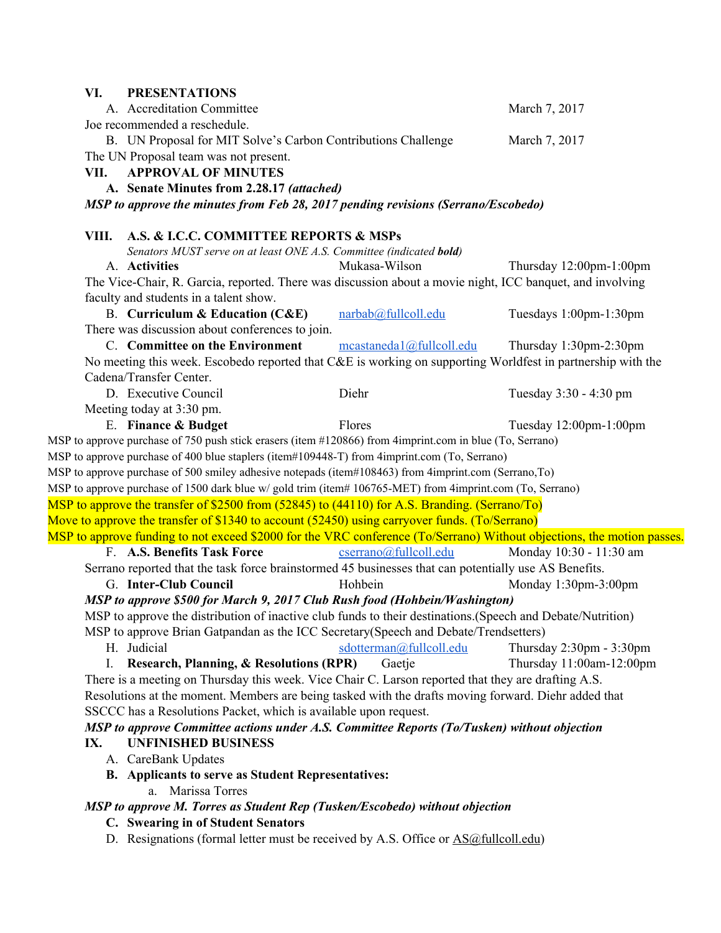| VI.                                                                                                 | <b>PRESENTATIONS</b>                                                                                        |                          |                                                                                                                        |  |  |
|-----------------------------------------------------------------------------------------------------|-------------------------------------------------------------------------------------------------------------|--------------------------|------------------------------------------------------------------------------------------------------------------------|--|--|
|                                                                                                     | A. Accreditation Committee                                                                                  |                          | March 7, 2017                                                                                                          |  |  |
|                                                                                                     | Joe recommended a reschedule.                                                                               |                          |                                                                                                                        |  |  |
|                                                                                                     | B. UN Proposal for MIT Solve's Carbon Contributions Challenge                                               |                          | March 7, 2017                                                                                                          |  |  |
|                                                                                                     | The UN Proposal team was not present.                                                                       |                          |                                                                                                                        |  |  |
| VII.                                                                                                | <b>APPROVAL OF MINUTES</b>                                                                                  |                          |                                                                                                                        |  |  |
|                                                                                                     | A. Senate Minutes from 2.28.17 (attached)                                                                   |                          |                                                                                                                        |  |  |
|                                                                                                     | MSP to approve the minutes from Feb 28, 2017 pending revisions (Serrano/Escobedo)                           |                          |                                                                                                                        |  |  |
| VIII.                                                                                               | A.S. & I.C.C. COMMITTEE REPORTS & MSPs                                                                      |                          |                                                                                                                        |  |  |
|                                                                                                     | Senators MUST serve on at least ONE A.S. Committee (indicated bold)                                         |                          |                                                                                                                        |  |  |
|                                                                                                     | A. Activities                                                                                               | Mukasa-Wilson            | Thursday 12:00pm-1:00pm                                                                                                |  |  |
|                                                                                                     | The Vice-Chair, R. Garcia, reported. There was discussion about a movie night, ICC banquet, and involving   |                          |                                                                                                                        |  |  |
|                                                                                                     | faculty and students in a talent show.                                                                      |                          |                                                                                                                        |  |  |
|                                                                                                     | <b>B.</b> Curriculum & Education (C&E)                                                                      | narbab@fullcoll.edu      | Tuesdays 1:00pm-1:30pm                                                                                                 |  |  |
|                                                                                                     | There was discussion about conferences to join.                                                             |                          |                                                                                                                        |  |  |
|                                                                                                     | C. Committee on the Environment                                                                             | mcastaneda1@fullcoll.edu | Thursday 1:30pm-2:30pm                                                                                                 |  |  |
|                                                                                                     | No meeting this week. Escobedo reported that C&E is working on supporting Worldfest in partnership with the |                          |                                                                                                                        |  |  |
|                                                                                                     | Cadena/Transfer Center.                                                                                     |                          |                                                                                                                        |  |  |
|                                                                                                     | D. Executive Council                                                                                        | Diehr                    | Tuesday 3:30 - 4:30 pm                                                                                                 |  |  |
|                                                                                                     | Meeting today at 3:30 pm.                                                                                   |                          |                                                                                                                        |  |  |
|                                                                                                     | E. Finance & Budget                                                                                         | Flores                   | Tuesday 12:00pm-1:00pm                                                                                                 |  |  |
|                                                                                                     | MSP to approve purchase of 750 push stick erasers (item #120866) from 4imprint.com in blue (To, Serrano)    |                          |                                                                                                                        |  |  |
|                                                                                                     | MSP to approve purchase of 400 blue staplers (item#109448-T) from 4imprint.com (To, Serrano)                |                          |                                                                                                                        |  |  |
|                                                                                                     | MSP to approve purchase of 500 smiley adhesive notepads (item#108463) from 4imprint.com (Serrano,To)        |                          |                                                                                                                        |  |  |
|                                                                                                     | MSP to approve purchase of 1500 dark blue w/ gold trim (item# 106765-MET) from 4imprint.com (To, Serrano)   |                          |                                                                                                                        |  |  |
|                                                                                                     | MSP to approve the transfer of \$2500 from (52845) to (44110) for A.S. Branding. (Serrano/To)               |                          |                                                                                                                        |  |  |
|                                                                                                     | Move to approve the transfer of \$1340 to account (52450) using carryover funds. (To/Serrano)               |                          |                                                                                                                        |  |  |
|                                                                                                     |                                                                                                             |                          | MSP to approve funding to not exceed \$2000 for the VRC conference (To/Serrano) Without objections, the motion passes. |  |  |
|                                                                                                     | F. A.S. Benefits Task Force                                                                                 | cserrano@fullcoll.edu    | Monday 10:30 - 11:30 am                                                                                                |  |  |
|                                                                                                     | Serrano reported that the task force brainstormed 45 businesses that can potentially use AS Benefits.       |                          |                                                                                                                        |  |  |
|                                                                                                     | G. Inter-Club Council                                                                                       | Hohbein                  | Monday 1:30pm-3:00pm                                                                                                   |  |  |
|                                                                                                     | MSP to approve \$500 for March 9, 2017 Club Rush food (Hohbein/Washington)                                  |                          |                                                                                                                        |  |  |
|                                                                                                     | MSP to approve the distribution of inactive club funds to their destinations.(Speech and Debate/Nutrition)  |                          |                                                                                                                        |  |  |
|                                                                                                     | MSP to approve Brian Gatpandan as the ICC Secretary (Speech and Debate/Trendsetters)                        |                          |                                                                                                                        |  |  |
|                                                                                                     | H. Judicial                                                                                                 | sdotterman@fullcoll.edu  | Thursday $2:30 \text{pm} - 3:30 \text{pm}$                                                                             |  |  |
|                                                                                                     | I. Research, Planning, & Resolutions (RPR)                                                                  | Gaetje                   | Thursday 11:00am-12:00pm                                                                                               |  |  |
| There is a meeting on Thursday this week. Vice Chair C. Larson reported that they are drafting A.S. |                                                                                                             |                          |                                                                                                                        |  |  |
|                                                                                                     | Resolutions at the moment. Members are being tasked with the drafts moving forward. Diehr added that        |                          |                                                                                                                        |  |  |
| SSCCC has a Resolutions Packet, which is available upon request.                                    |                                                                                                             |                          |                                                                                                                        |  |  |
|                                                                                                     | MSP to approve Committee actions under A.S. Committee Reports (To/Tusken) without objection                 |                          |                                                                                                                        |  |  |
| <b>UNFINISHED BUSINESS</b><br>IX.                                                                   |                                                                                                             |                          |                                                                                                                        |  |  |
|                                                                                                     | A. CareBank Updates                                                                                         |                          |                                                                                                                        |  |  |
|                                                                                                     | B. Applicants to serve as Student Representatives:                                                          |                          |                                                                                                                        |  |  |
|                                                                                                     | a. Marissa Torres                                                                                           |                          |                                                                                                                        |  |  |
| MSP to approve M. Torres as Student Rep (Tusken/Escobedo) without objection                         |                                                                                                             |                          |                                                                                                                        |  |  |
| C. Swearing in of Student Senators                                                                  |                                                                                                             |                          |                                                                                                                        |  |  |
|                                                                                                     | D. Resignations (formal letter must be received by A.S. Office or AS@fullcoll.edu)                          |                          |                                                                                                                        |  |  |
|                                                                                                     |                                                                                                             |                          |                                                                                                                        |  |  |
|                                                                                                     |                                                                                                             |                          |                                                                                                                        |  |  |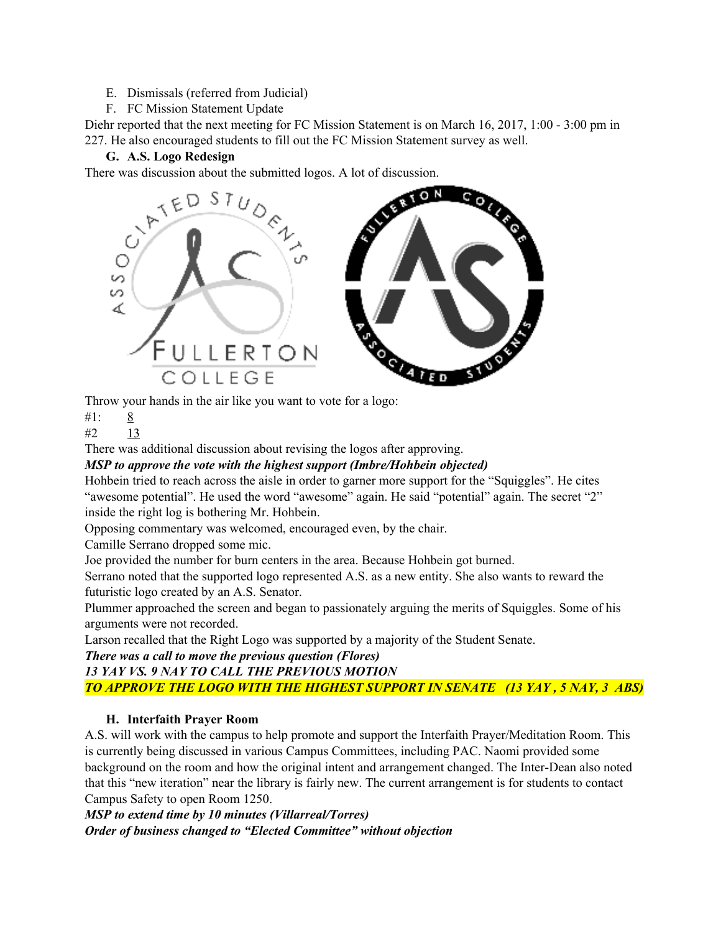- E. Dismissals (referred from Judicial)
- F. FC Mission Statement Update

Diehr reported that the next meeting for FC Mission Statement is on March 16, 2017, 1:00 - 3:00 pm in 227. He also encouraged students to fill out the FC Mission Statement survey as well.

# **G. A.S. Logo Redesign**

There was discussion about the submitted logos. A lot of discussion.



Throw your hands in the air like you want to vote for a logo:

#1: 8

#2 13

There was additional discussion about revising the logos after approving.

*MSP to approve the vote with the highest support (Imbre/Hohbein objected)*

Hohbein tried to reach across the aisle in order to garner more support for the "Squiggles". He cites "awesome potential". He used the word "awesome" again. He said "potential" again. The secret "2" inside the right log is bothering Mr. Hohbein.

Opposing commentary was welcomed, encouraged even, by the chair.

Camille Serrano dropped some mic.

Joe provided the number for burn centers in the area. Because Hohbein got burned.

Serrano noted that the supported logo represented A.S. as a new entity. She also wants to reward the futuristic logo created by an A.S. Senator.

Plummer approached the screen and began to passionately arguing the merits of Squiggles. Some of his arguments were not recorded.

Larson recalled that the Right Logo was supported by a majority of the Student Senate.

*There was a call to move the previous question (Flores)*

# *13 YAY VS. 9 NAY TO CALL THE PREVIOUS MOTION*

*TO APPROVE THE LOGO WITH THE HIGHEST SUPPORT IN SENATE (13 YAY , 5 NAY, 3 ABS)*

# **H. Interfaith Prayer Room**

A.S. will work with the campus to help promote and support the Interfaith Prayer/Meditation Room. This is currently being discussed in various Campus Committees, including PAC. Naomi provided some background on the room and how the original intent and arrangement changed. The Inter-Dean also noted that this "new iteration" near the library is fairly new. The current arrangement is for students to contact Campus Safety to open Room 1250.

# *MSP to extend time by 10 minutes (Villarreal/Torres) Order of business changed to "Elected Committee" without objection*